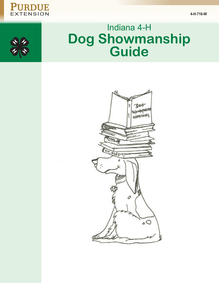

# Indiana 4-H **Dog Showmanship Guide**

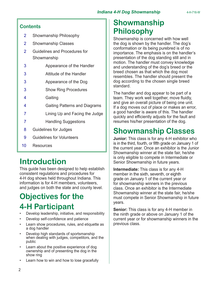#### **Contents**

- 2 Showmanship Philosophy
- 2 Showmanship Classes
- 2 Guidelines and Procedures for Showmanship
- [3 Appearance of the Handler](#page-2-0)
- 3 Attitude of the Handler
- 3 Appearance of the Dog
- 3 Show Ring Procedures
- 4 Gaiting
- [4 Gaiting Patterns and Diagrams](#page-3-0)
- [7 Lining Up and Facing the Judge](#page-6-0)
- 7 Handling Suggestions
- 8 [Guidelines for Judges](#page-7-0)
- 9 [Guidelines for Volunteers](#page-8-0)
- 10 [Resources](#page-9-0)

### **Introduction**

This guide has been designed to help establish consistent regulations and procedures for 4-H dog shows held throughout Indiana. This information is for 4-H members, volunteers, and judges on both the state and county level.

### **Objectives for the 4-H Participant**

- Develop leadership, initiative, and responsibility
- Develop self-confidence and patience
- Learn show procedures, rules, and etiquette as a dog handler
- Develop high standards of sportsmanship when dealing with judges, competitors, and the public
- Learn about the positive experience of dog ownership and of presenting the dog in the show ring
- Learn how to win and how to lose gracefully

### **Showmanship Philosophy**

Showmanship is concerned with how well the dog is shown by the handler. The dog's conformation or its being purebred is of no importance. The emphasis is on the handler's presentation of the dog standing still and in motion. The handler must convey knowledge and understanding of the dog's breed or the breed chosen as that which the dog most resembles. The handler should present the dog according to the chosen single breed standard.

The handler and dog appear to be part of a team. They work well together, move fluidly, and give an overall picture of being one unit. If a dog moves out of place or makes an error, a good handler is aware of this. The handler quickly and efficiently adjusts for the fault and resumes his/her presentation of the dog.

### **Showmanship Classes**

**Junior:** This class is for any 4-H exhibitor who is in the third, fourth, or fifth grade on January 1 of the current year. Once an exhibitor is the Junior Showmanship winner at the state fair, he/she is only eligible to compete in Intermediate or Senior Showmanship in future years.

**Intermediate:** This class is for any 4-H member in the sixth, seventh, or eighth grade on January 1 of the current year or for showmanship winners in the previous class. Once an exhibitor is the Intermediate Showmanship winner at the state fair, he/she must compete in Senior Showmanship in future years.

**Senior:** This class is for any 4-H member in the ninth grade or above on January 1 of the current year or for showmanship winners in the previous class.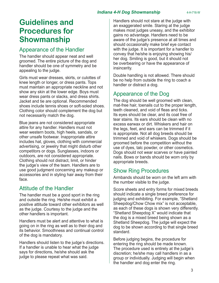### <span id="page-2-0"></span>**Guidelines and Procedures for Showmanship**

#### Appearance of the Handler

The handler should appear neat and well groomed. The entire picture of the dog and handler should be one of symmetry and be appealing to the judge.

Girls must wear dresses, skirts, or culottes of knee length or longer, or dress pants. Tops must maintain an appropriate neckline and not show any skin at the lower edge. Boys must wear dress pants or slacks, and dress shirts. Jacket and tie are optional. Recommended shoes include tennis shoes or soft-soled shoes. Clothing color should complement the dog but not necessarily match the dog.

Blue jeans are not considered appropriate attire for any handler. Handlers must not wear western boots, high heels, sandals, or other unsafe footwear. Inappropriate attire includes hat, gloves, clothing with commercial advertising, or jewelry that might disturb other competitors or dogs. Sunglasses, indoors or outdoors, are not considered appropriate. Clothing should not distract, limit, or hinder the judge's view of the team. Handlers are to use good judgment concerning any makeup or accessories and in styling hair away from their face.

#### Attitude of the Handler

The handler must be a good sport in the ring and outside the ring. He/she must exhibit a positive attitude toward other exhibitors as well as the judge. Courtesy to the judge and the other handlers is important.

Handlers must be alert and attentive to what is going on in the ring as well as to their dog and its behavior. Smoothness and continual control of the dog is mandatory.

Handlers should listen to the judge's directions. If a handler is unable to hear what the judge says for directions, he/she should ask the judge to please repeat what was said.

Handlers should not stare at the judge with an exaggerated smile. Staring at the judge makes most judges uneasy, and the exhibitor gains no advantage. Handlers need to be aware of the judge's presence at all times and should occasionally make brief eye contact with the judge. It is important for a handler to convey that he/she is enjoying showing his/ her dog. Smiling is good, but it should not be overbearing or have the appearance of insincerity.

Double handling is not allowed. There should be no help from outside the ring to coach a handler or distract a dog.

#### Appearance of the Dog

The dog should be well groomed with clean, mat-free hair, toenails cut to the proper length, teeth cleaned, and void of fleas and ticks. Its eyes should be clear, and its coat free of tear stains. Its ears should be clean with no excess earwax or dirt. Whiskers and hair on the legs, feet, and ears can be trimmed if it is appropriate. Not all dog breeds should be trimmed and void of whiskers. Dogs should be groomed before the competition without the use of dyes, talc powder, or other cosmetics. Dogs should not wear scarves or have painted nails. Bows or bands should be worn only by appropriate breeds.

#### Show Ring Procedures

Armbands should be worn on the left arm with the number visible to the judge.

Score sheets and entry forms for mixed breeds should indicate a single breed preference for judging and exhibiting. For example, "Shetland Sheepdog/Chow Chow mix" is not acceptable, as each of these dogs is shown very differently. "Shetland Sheepdog X" would indicate that the dog is a mixed breed being shown as a Shetland Sheepdog. The judge will expect the dog to be shown according to that single breed standard.

Before judging begins, the procedure for entering the ring should be made known. The procedure used is entirely at the judge's discretion; he/she may call handlers in as a group or individually. Judging will begin when the handler and dog enter the ring.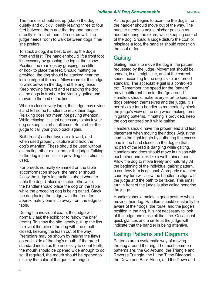#### **Indiana 4-H Dog Showmanship** 4-H-716-W

<span id="page-3-0"></span>The handler should set up (stack) the dog quietly and quickly, ideally leaving three to four feet between them and the dog and handler directly in front of them. Do not crowd. The judge needs room to walk between dogs if he/ she prefers.

To stack a dog, it is best to set up the dog's front end first. The handler should lift a front foot if necessary by grasping the leg at the elbow. Position the rear legs by grasping the stifle or hock to place the feet. Should matting be provided, the dog should be stacked near the inside edge of the mat. Allow room for the judge to walk between the dog and the ring fence. Keep moving forward and restacking the dog as the dogs in front are individually gaited and moved to the end of the line.

When a class is very large, the judge may divide it and tell some handlers to relax their dogs. Relaxing does not mean not paying attention. While relaxing, it is not necessary to stack your dog or keep it alert at all times. Be alert for the judge to call your group back again.

Bait (treats) and/or toys are allowed, and when used properly, capture and hold the dog's attention. These should be used without distracting other exhibitors or the judge. Talking to the dog is permissible providing discretion is used.

For breeds normally examined on the table at conformation shows, the handler should follow the judge's instructions about when to table the dog. Unless indicated otherwise, the handler should place the dog on the table while the preceding dog is being gaited. Stack the dog facing the judge, with the front feet approximately one inch away from the edge of table.

During the individual exam, the judge will normally ask the exhibitor to "show the bite" (teeth). To show the bite, gently pull up the lips to reveal the bite of the dog with the mouth closed, keeping the leash out of the way. Premolars may be shown by raising the flews on each side of the dog's mouth. If the breed standard indicates the necessity to count teeth, the mouth should be opened wide enough to do so. If required, the mouth should be opened to display the color of the gums or tongue.

As the judge begins to examine the dog's front, the handler should move out of the way. The handler needs to adjust his/her position as needed during the exam, while keeping control of the dog. Should a judge disturb the coat or misplace a foot, the handler should reposition the coat or foot.

#### **Gaiting**

Gaiting means to move the dog in the pattern requested by the judge. Movement should be smooth, in a straight line, and at the correct speed according to the dog's size and breed standard. The acceptable gait is a controlled trot. Remember, the speed for the "pattern" may be different than for the "go around." Handlers should make every effort to keep their dogs between themselves and the judge. It is permissible for a handler to momentarily block the judge's view of the dog when making turns in gaiting patterns. If matting is provided, keep the dog centered on it while gaiting.

Handlers should have the proper lead and lead placement when moving their dogs. Adjust the lead to the right length by gathering the excess lead in the hand closest to the dog so that no part of the lead is dangling while gaiting. Handlers and dogs should move in unison with each other and look like a well-trained team. Allow the dog to move freely and naturally. At the beginning of the individual gaiting pattern, a courtesy turn is optional. A properly executed courtesy turn will allow the handler to align with the judge and the path to be taken. This small turn in front of the judge is also called honoring the judge.

Handlers should maintain good posture when moving their dog. Handlers should constantly be aware of their dogs, the route, and the judge's position in the ring. It is not necessary to look at the judge and smile all the time. Occasional quick glances and a smile at the judge will indicate that the handler is being attentive.

#### Gaiting Patterns and Diagrams

Patterns are a systematic way of moving the dog around the ring. The most common patterns are: the Go Around, the Triangle and Reverse Triangle, the L, the T, the Diagonal, the Down and Back Alone, and the Down and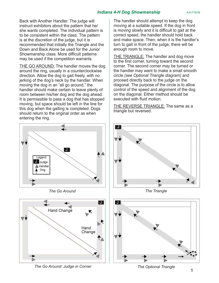#### **Indiana 4-H Dog Showmanship** 4-H-716-W

Back with Another Handler. The judge will instruct exhibitors about the pattern that he/ she wants completed. The individual pattern is to be consistent within the class. The pattern is at the discretion of the judge, but it is recommended that initially the Triangle and the Down and Back Alone be used for the Junior Showmanship class. More difficult patterns may be used if the competition warrants.

THE GO AROUND: The handler moves the dog around the ring, usually in a counterclockwise direction. Allow the dog to gait freely, with no jerking of the dog's neck by the handler. When moving the dog in an "all go around," the handler should make certain to leave plenty of room between his/her dog and the dog ahead. It is permissible to pass a dog that has stopped moving, but space should be left in the line for this dog when the gaiting is completed. Dogs should return to the original order as when entering the ring.







*The Go Around: Judge in Corner*

The handler should attempt to keep the dog moving at a suitable speed. If the dog in front is moving slowly and it is difficult to gait at the correct speed, the handler should hold back and make space. Then, when it is the handler's turn to gait in front of the judge, there will be enough room to move.

**THE TRIANGLE:** The handler and dog move to the first corner, turning toward the second corner. The second corner may be turned or the handler may want to make a small smooth circle *(see Optional Triangle diagram)* and proceed directly back to the judge on the diagonal. The purpose of the circle is to allow control of the speed and alignment of the dog on the diagonal. Either method should be executed with fluid motion.

THE REVERSE TRIANGLE: The same as a triangle but reversed.



*The Optional Triangle*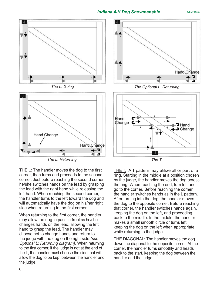

THE L: The handler moves the dog to the first corner, then turns and proceeds to the second corner. Just before reaching the second corner, he/she switches hands on the lead by grasping the lead with the right hand while releasing the left hand. When reaching the second corner, the handler turns to the left toward the dog and will automatically have the dog on his/her right side when returning to the first corner.

When returning to the first corner, the handler may allow the dog to pass in front as he/she changes hands on the lead, allowing the left hand to grasp the lead. The handler may choose not to change hands and return to the judge with the dog on the right side *(see Optional L: Returning diagram)*. When returning to the first corner, if the judge is not at the end of the L, the handler must choose the side that will allow the dog to be kept between the handler and the judge.





THE T: A T pattern may utilize all or part of a ring. Starting in the middle at a position chosen by the judge, the handler moves the dog across the ring. When reaching the end, turn left and go to the corner. Before reaching the corner, the handler switches hands as in the L pattern. After turning into the dog, the handler moves the dog to the opposite corner. Before reaching that corner, the handler switches hands again, keeping the dog on the left, and proceeding back to the middle. In the middle, the handler makes a small smooth circle or turns left, keeping the dog on the left when appropriate while returning to the judge.

THE DIAGONAL: The handler moves the dog down the diagonal to the opposite corner. At the corner, the handler turns smoothly and heads back to the start, keeping the dog between the handler and the judge.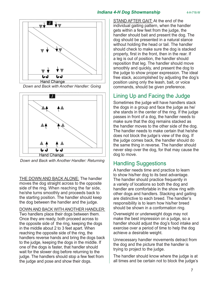<span id="page-6-0"></span>

Hand Change *Down and Back with Another Handler: Going*



*Down and Back with Another Handler: Returning*

THE DOWN AND BACK ALONE: The handler moves the dog straight across to the opposite side of the ring. When reaching the far side, he/she turns smoothly and proceeds back to the starting position. The handler should keep the dog between the handler and the judge.

DOWN AND BACK WITH ANOTHER HANDLER: Two handlers place their dogs between them. Once they are ready, both proceed across to the opposite side of the ring, keeping the dogs in the middle about 2 to 3 feet apart. When reaching the opposite side of the ring, the handlers reverse hands and bring the dogs back to the judge, keeping the dogs in the middle. If one of the dogs is faster, that handler should wait for the slower dog before returning to the judge. The handlers should stop a few feet from the judge and pose and show their dogs.

STAND AFTER GAIT: At the end of the individual gaiting pattern, when the handler gets within a few feet from the judge, the handler should bait and present the dog. The dog should be presented in a natural stance without holding the head or tail. The handler should check to make sure the dog is stacked properly, first in the front, then in the rear. If a leg is out of position, the handler should reposition that leg. The handler should move smoothly and quickly, and present the dog to the judge to show proper expression. The ideal free stack, accomplished by adjusting the dog's position using only the leash, bait, or voice commands, should be given preference.

### Lining Up and Facing the Judge

Sometimes the judge will have handlers stack the dogs in a group and face the judge as he/ she stands in the center of the ring. If the judge passes in front of a dog, the handler needs to make sure that the dog remains stacked as the handler moves to the other side of the dog. The handler needs to make certain that he/she does not block the judge's view of the dog. If the judge comes back, the handler should do the same thing in reverse. The handler should never step over the dog, for that may cause the dog to move.

#### Handling Suggestions

A handler needs time and practice to learn to show his/her dog to its best advantage. The handler should practice frequently in a variety of locations so both the dog and handler are comfortable in the show ring with other dogs and handlers. Stacking and gaiting are distinctive to each breed. The handler's responsibility is to learn how his/her breed should be shown in a conformation ring.

Overweight or underweight dogs may not make the best impression on a judge, so a handler should adjust the dog's food intake and exercise over a period of time to help the dog achieve a desirable weight.

Unnecessary handler movements detract from the dog and the picture that the handler is trying to project to the judge.

The handler should know where the judge is at all times and be certain not to block the judge's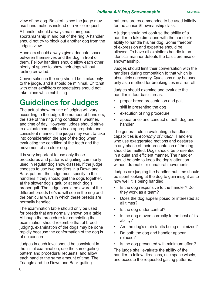<span id="page-7-0"></span>view of the dog. Be alert, since the judge may use hand motions instead of a voice request.

A handler should always maintain good sportsmanship in and out of the ring. A handler should not try to block out another dog from the judge's view.

Handlers should always give adequate space between themselves and the dog in front of them. Fellow handlers should allow each other plenty of space to show their dogs without feeling crowded.

Conversation in the ring should be limited only to the judge, and it should be minimal. Chitchat with other exhibitors or spectators should not take place while exhibiting.

## **Guidelines for Judges**

The actual show routine of judging will vary according to the judge, the number of handlers, the size of the ring, ring conditions, weather, and time of day. However, judges should strive to evaluate competitors in an appropriate and consistent manner. The judge may want to take into consideration the age of the dog when evaluating the condition of the teeth and the movement of an older dog.

It is very important to use only those procedures and patterns of gaiting commonly used in regular dog show classes. If the judge chooses to use two handlers in a Down and Back pattern, the judge must specify to the handlers if they should gait the dogs together, at the slower dog's gait, or at each dog's proper gait. The judge should be aware of the different breeds he/she will see in the ring and the particular ways in which these breeds are normally handled.

The examination table should only be used for breeds that are normally shown on a table. Although the procedure for completing the examination should resemble that of breed judging, examination of the dogs may be done rapidly because the conformation of the dog is of no concern.

Judges in each level should be consistent in the initial examination, use the same gaiting pattern and procedural requests, and allow each handler the same amount of time. The Triangle and the Down and Back gaiting

patterns are recommended to be used initially for the Junior Showmanship class.

A judge should not confuse the ability of a handler to take directions with the handler's ability to handle his/her dog. Some freedom of expression and expertise should be allowed. To have all exhibitors handle in an identical manner defeats the basic premise of showmanship.

Judges should limit their conversation with the handlers during competition to that which is absolutely necessary. Questions may be used only as a method for breaking ties in a run-off.

Judges should examine and evaluate the handler in four basic areas:

- proper breed presentation and gait
- skill in presenting the dog
- execution of ring procedure
- appearance and conduct of both dog and handler

The general rule in evaluating a handler's capabilities is *economy of motion*. Handlers who use exaggerated motions and gestures in any phase of their presentation of the dog should be faulted. Dogs should be presented in a quiet and efficient manner. The handler should be able to keep the dog's attention without dramatic or unnatural movements.

Judges are judging the handler, but time should be spent looking at the dog to gain insight as to how well it is being handled.

- Is the dog responsive to the handler? Do they work as a team?
- Does the dog appear posed or interested at all times?
- Is the dog under control?
- Is the dog moved correctly to the best of its ability?
- Are the dog's main faults being minimized?
- Do both the dog and handler appear relaxed?
- Is the dog presented with minimum effort?

The judge shall evaluate the ability of the handler to follow directions, use space wisely, and execute the requested gaiting patterns.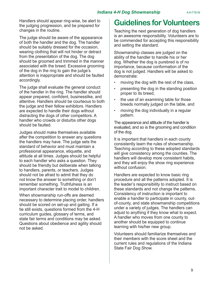<span id="page-8-0"></span>Handlers should appear ring-wise, be alert to the judging progression, and be prepared for changes in the routine.

The judge should be aware of the appearance of both the handler and the dog. The handler should be suitably dressed for the occasion, wearing clothing that will not hinder or detract from the presentation of the dog. The dog should be groomed and trimmed in the manner associated with the breed. Excessive grooming of the dog in the ring to gain the judge's attention is inappropriate and should be faulted accordingly.

The judge shall evaluate the general conduct of the handler in the ring. The handler should appear prepared, confident, businesslike, and attentive. Handlers should be courteous to both the judge and their fellow exhibitors. Handlers are expected to handle their dogs without distracting the dogs of other competitors. A handler who crowds or disturbs other dogs should be faulted.

Judges should make themselves available after the competition to answer any questions the handlers may have. The judge sets the standard of behavior and must maintain a professional appearance, etiquette, and attitude at all times. Judges should be helpful to each handler who asks a question. They should be friendly but deliberate when talking to handlers, parents, or teachers. Judges should not be afraid to admit that they do not know the answer to something or don't remember something. Truthfulness is an important character trait to model to children.

When showmanship run-offs are deemed necessary to determine placing order, handlers should be scored on set-up and gaiting. If a tie still exists, questions formed from the 4-H curriculum guides, glossary of terms, and state fair terms and conditions may be asked. Questions about obedience and agility should not be asked.

### **Guidelines for Volunteers**

Teaching the next generation of dog handlers is an awesome responsibility. Volunteers are to be commended for accepting this responsibility and setting the standard.

Showmanship classes are judged on the ability of the handler to handle his or her dog. Whether the dog is purebred is of no importance, because conformation of the dog is not judged. Handlers will be asked to demonstrate:

- moving the dog with the rest of the class,
- presenting the dog in the standing position proper to its breed,
- the use of an examining table for those breeds normally judged on the table, and
- moving the dog individually in a regular pattern.

The appearance and attitude of the handler is evaluated, and so is the grooming and condition of the dog.

It is important that handlers in each county consistently learn the rules of showmanship. Teaching according to these adopted standards will give consistency among the counties. The handlers will develop more consistent habits, and they will enjoy the show ring experience without confusion.

Handlers are expected to know basic ring procedure and all the patterns adopted. It is the leader's responsibility to instruct based on these standards and not change the patterns. Consistency of instruction is important to enable a handler to participate in county, outof-county, and state showmanship competitions under a variety of judges. The handlers can adjust to anything if they know what to expect. A handler who moves from one county to another should be equipped to continue learning with his/her new group.

Volunteers should familiarize themselves and their members with the score sheet and the current rules and regulations of the Indiana State Fair Dog Show.